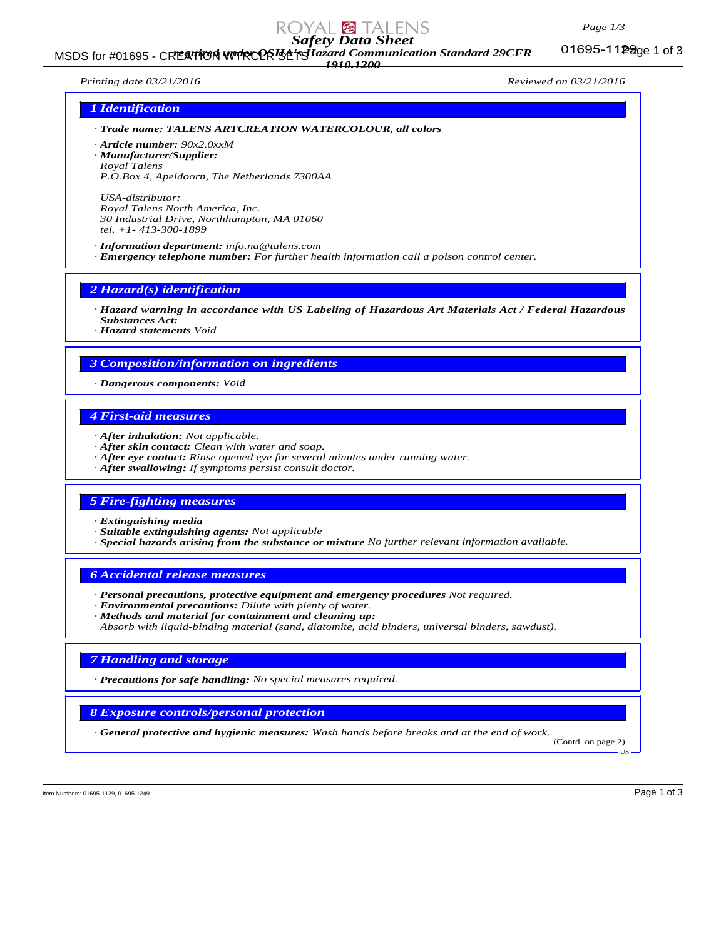#### *Page 1/3*

*Safety Data Sheet*

MSDS for #01695 - CREATICH WTRCOR Et pHazard Communication Standard 29CFR 01695-11Page 1 of 3 *1910.1200*

01695-1129 ge 1 of 3

*Printing date 03/21/2016 Reviewed on 03/21/2016*

## *1 Identification*

*· Trade name: TALENS ARTCREATION WATERCOLOUR, all colors*

*· Article number: 90x2.0xxM · Manufacturer/Supplier:*

*Royal Talens P.O.Box 4, Apeldoorn, The Netherlands 7300AA*

*USA-distributor: Royal Talens North America, Inc. 30 Industrial Drive, Northhampton, MA 01060 tel. +1- 413-300-1899*

*· Information department: info.na@talens.com · Emergency telephone number: For further health information call a poison control center.*

*2 Hazard(s) identification*

*· Hazard warning in accordance with US Labeling of Hazardous Art Materials Act / Federal Hazardous Substances Act:*

*· Hazard statements Void*

# *3 Composition/information on ingredients*

*· Dangerous components: Void*

# *4 First-aid measures*

- *· After inhalation: Not applicable.*
- *· After skin contact: Clean with water and soap.*
- *· After eye contact: Rinse opened eye for several minutes under running water.*
- *· After swallowing: If symptoms persist consult doctor.*

#### *5 Fire-fighting measures*

*· Extinguishing media*

*· Suitable extinguishing agents: Not applicable*

*· Special hazards arising from the substance or mixture No further relevant information available.*

### *6 Accidental release measures*

- *· Personal precautions, protective equipment and emergency procedures Not required.*
- *· Environmental precautions: Dilute with plenty of water.*

*· Methods and material for containment and cleaning up: Absorb with liquid-binding material (sand, diatomite, acid binders, universal binders, sawdust).*

# *7 Handling and storage*

*· Precautions for safe handling: No special measures required.*

*8 Exposure controls/personal protection*

*· General protective and hygienic measures: Wash hands before breaks and at the end of work.*

(Contd. on page 2) US

Item Numbers: 01695-1129, 01695-1129 and the state of 3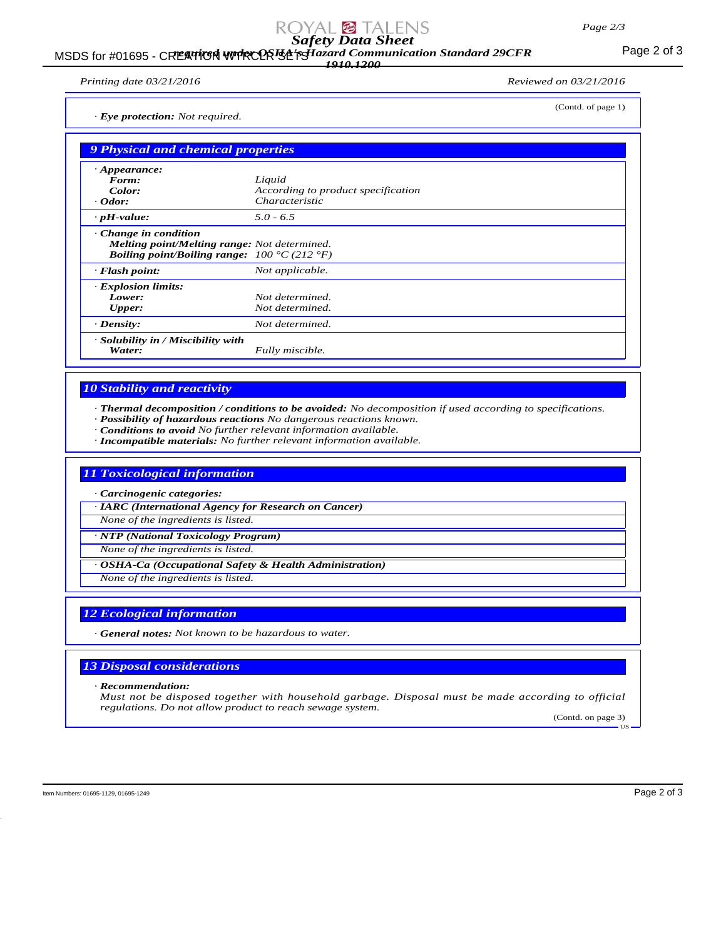# *Safety Data Sheet*

## MSDS for #01695 - CREATICH WITRCOR **Et permant Communication Standard 29CFR** Page 2 of 3 *1910.1200*

*Printing date 03/21/2016 Reviewed on 03/21/2016*

(Contd. of page 1)

*· Eye protection: Not required.*

| 9 Physical and chemical properties |                                                                                                                            |  |
|------------------------------------|----------------------------------------------------------------------------------------------------------------------------|--|
| $\cdot$ Appearance:                |                                                                                                                            |  |
| Form:<br>Color:                    | Liquid<br>According to product specification                                                                               |  |
|                                    |                                                                                                                            |  |
| $\cdot$ Odor:                      | <i>Characteristic</i>                                                                                                      |  |
| $\cdot$ pH-value:                  | $5.0 - 6.5$                                                                                                                |  |
| $\cdot$ Change in condition        | <b>Melting point/Melting range:</b> Not determined.<br><i>Boiling point/Boiling range:</i> $100 \degree C (212 \degree F)$ |  |
| $\cdot$ Flash point:               | Not applicable.                                                                                                            |  |
| · Explosion limits:                |                                                                                                                            |  |
| Lower:                             | Not determined.                                                                                                            |  |
| <b>Upper:</b>                      | Not determined.                                                                                                            |  |
| $\cdot$ Density:                   | Not determined.                                                                                                            |  |
| · Solubility in / Miscibility with |                                                                                                                            |  |
| Water:                             | Fully miscible.                                                                                                            |  |

# *10 Stability and reactivity*

*· Thermal decomposition / conditions to be avoided: No decomposition if used according to specifications.*

*· Possibility of hazardous reactions No dangerous reactions known.*

*· Conditions to avoid No further relevant information available.*

*· Incompatible materials: No further relevant information available.*

# *11 Toxicological information*

*· Carcinogenic categories:*

*· IARC (International Agency for Research on Cancer)*

*None of the ingredients is listed.*

*· NTP (National Toxicology Program)*

*None of the ingredients is listed.*

*· OSHA-Ca (Occupational Safety & Health Administration)*

*None of the ingredients is listed.*

# *12 Ecological information*

*· General notes: Not known to be hazardous to water.*

# *13 Disposal considerations*

*· Recommendation:*

*Must not be disposed together with household garbage. Disposal must be made according to official regulations. Do not allow product to reach sewage system.*

(Contd. on page 3) US